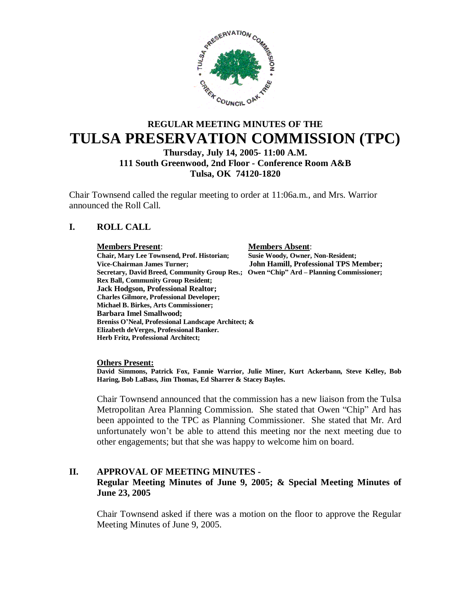

# **REGULAR MEETING MINUTES OF THE TULSA PRESERVATION COMMISSION (TPC)**

**Thursday, July 14, 2005- 11:00 A.M. 111 South Greenwood, 2nd Floor - Conference Room A&B Tulsa, OK 74120-1820**

Chair Townsend called the regular meeting to order at 11:06a.m., and Mrs. Warrior announced the Roll Call.

# **I. ROLL CALL**

#### **Members Present**: **Members Absent**:

**Chair, Mary Lee Townsend, Prof. Historian; Susie Woody, Owner, Non-Resident; Vice-Chairman James Turner; John Hamill, Professional TPS Member; Secretary, David Breed, Community Group Res.; Owen "Chip" Ard – Planning Commissioner; Rex Ball, Community Group Resident; Jack Hodgson, Professional Realtor; Charles Gilmore, Professional Developer; Michael B. Birkes, Arts Commissioner; Barbara Imel Smallwood; Breniss O'Neal, Professional Landscape Architect; & Elizabeth deVerges, Professional Banker. Herb Fritz, Professional Architect;**

**Others Present:**

**David Simmons, Patrick Fox, Fannie Warrior, Julie Miner, Kurt Ackerbann, Steve Kelley, Bob Haring, Bob LaBass, Jim Thomas, Ed Sharrer & Stacey Bayles.**

Chair Townsend announced that the commission has a new liaison from the Tulsa Metropolitan Area Planning Commission. She stated that Owen "Chip" Ard has been appointed to the TPC as Planning Commissioner. She stated that Mr. Ard unfortunately won't be able to attend this meeting nor the next meeting due to other engagements; but that she was happy to welcome him on board.

#### **II. APPROVAL OF MEETING MINUTES - Regular Meeting Minutes of June 9, 2005; & Special Meeting Minutes of June 23, 2005**

Chair Townsend asked if there was a motion on the floor to approve the Regular Meeting Minutes of June 9, 2005.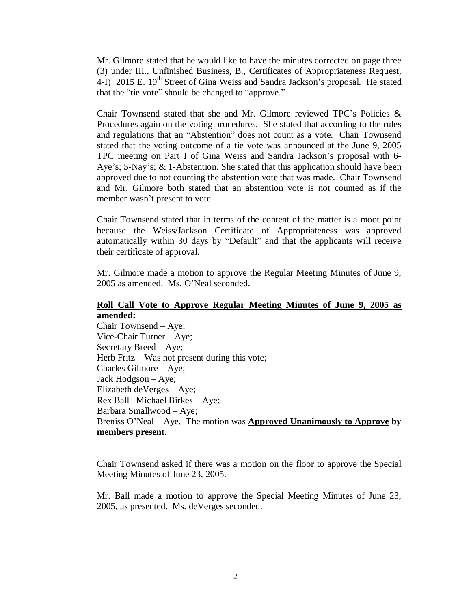Mr. Gilmore stated that he would like to have the minutes corrected on page three (3) under III., Unfinished Business, B., Certificates of Appropriateness Request, 4-I) 2015 E. 19<sup>th</sup> Street of Gina Weiss and Sandra Jackson's proposal. He stated that the "tie vote" should be changed to "approve."

Chair Townsend stated that she and Mr. Gilmore reviewed TPC's Policies & Procedures again on the voting procedures. She stated that according to the rules and regulations that an "Abstention" does not count as a vote. Chair Townsend stated that the voting outcome of a tie vote was announced at the June 9, 2005 TPC meeting on Part I of Gina Weiss and Sandra Jackson's proposal with 6- Aye's; 5-Nay's; & 1-Abstention. She stated that this application should have been approved due to not counting the abstention vote that was made. Chair Townsend and Mr. Gilmore both stated that an abstention vote is not counted as if the member wasn't present to vote.

Chair Townsend stated that in terms of the content of the matter is a moot point because the Weiss/Jackson Certificate of Appropriateness was approved automatically within 30 days by "Default" and that the applicants will receive their certificate of approval.

Mr. Gilmore made a motion to approve the Regular Meeting Minutes of June 9, 2005 as amended. Ms. O'Neal seconded.

#### **Roll Call Vote to Approve Regular Meeting Minutes of June 9, 2005 as amended:**

Chair Townsend – Aye; Vice-Chair Turner – Aye; Secretary Breed – Aye; Herb Fritz  $-$  Was not present during this vote; Charles Gilmore – Aye; Jack Hodgson – Aye; Elizabeth deVerges – Aye; Rex Ball –Michael Birkes – Aye; Barbara Smallwood – Aye; Breniss O'Neal – Aye. The motion was **Approved Unanimously to Approve by members present.**

Chair Townsend asked if there was a motion on the floor to approve the Special Meeting Minutes of June 23, 2005.

Mr. Ball made a motion to approve the Special Meeting Minutes of June 23, 2005, as presented. Ms. deVerges seconded.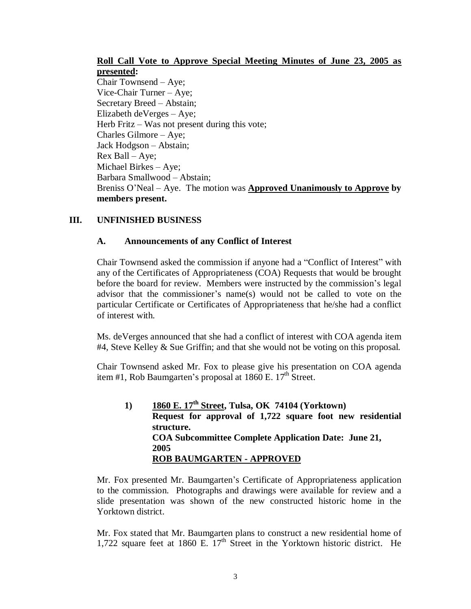# **Roll Call Vote to Approve Special Meeting Minutes of June 23, 2005 as presented:**

Chair Townsend – Aye; Vice-Chair Turner – Aye; Secretary Breed – Abstain; Elizabeth deVerges – Aye; Herb Fritz – Was not present during this vote; Charles Gilmore – Aye; Jack Hodgson – Abstain; Rex Ball – Aye; Michael Birkes – Aye; Barbara Smallwood – Abstain; Breniss O'Neal – Aye. The motion was **Approved Unanimously to Approve by members present.**

# **III. UNFINISHED BUSINESS**

# **A. Announcements of any Conflict of Interest**

Chair Townsend asked the commission if anyone had a "Conflict of Interest" with any of the Certificates of Appropriateness (COA) Requests that would be brought before the board for review. Members were instructed by the commission's legal advisor that the commissioner's name(s) would not be called to vote on the particular Certificate or Certificates of Appropriateness that he/she had a conflict of interest with.

Ms. deVerges announced that she had a conflict of interest with COA agenda item #4, Steve Kelley & Sue Griffin; and that she would not be voting on this proposal.

Chair Townsend asked Mr. Fox to please give his presentation on COA agenda item #1, Rob Baumgarten's proposal at  $1860$  E.  $17<sup>th</sup>$  Street.

**1) 1860 E. 17th Street, Tulsa, OK 74104 (Yorktown) Request for approval of 1,722 square foot new residential structure. COA Subcommittee Complete Application Date: June 21, 2005 ROB BAUMGARTEN - APPROVED**

Mr. Fox presented Mr. Baumgarten's Certificate of Appropriateness application to the commission. Photographs and drawings were available for review and a slide presentation was shown of the new constructed historic home in the Yorktown district.

Mr. Fox stated that Mr. Baumgarten plans to construct a new residential home of 1,722 square feet at 1860 E.  $17<sup>th</sup>$  Street in the Yorktown historic district. He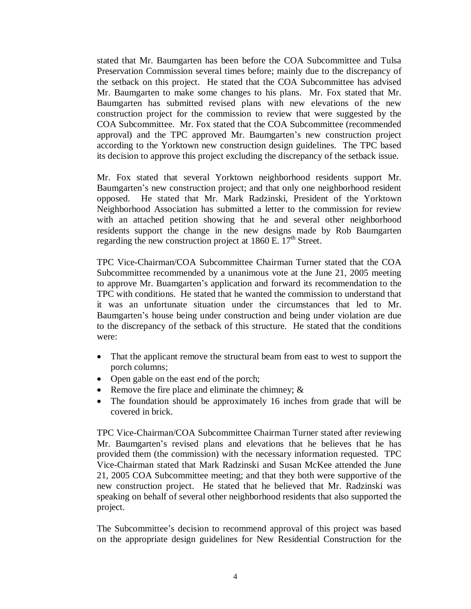stated that Mr. Baumgarten has been before the COA Subcommittee and Tulsa Preservation Commission several times before; mainly due to the discrepancy of the setback on this project. He stated that the COA Subcommittee has advised Mr. Baumgarten to make some changes to his plans. Mr. Fox stated that Mr. Baumgarten has submitted revised plans with new elevations of the new construction project for the commission to review that were suggested by the COA Subcommittee. Mr. Fox stated that the COA Subcommittee (recommended approval) and the TPC approved Mr. Baumgarten's new construction project according to the Yorktown new construction design guidelines. The TPC based its decision to approve this project excluding the discrepancy of the setback issue.

Mr. Fox stated that several Yorktown neighborhood residents support Mr. Baumgarten's new construction project; and that only one neighborhood resident opposed. He stated that Mr. Mark Radzinski, President of the Yorktown Neighborhood Association has submitted a letter to the commission for review with an attached petition showing that he and several other neighborhood residents support the change in the new designs made by Rob Baumgarten regarding the new construction project at  $1860$  E.  $17<sup>th</sup>$  Street.

TPC Vice-Chairman/COA Subcommittee Chairman Turner stated that the COA Subcommittee recommended by a unanimous vote at the June 21, 2005 meeting to approve Mr. Buamgarten's application and forward its recommendation to the TPC with conditions. He stated that he wanted the commission to understand that it was an unfortunate situation under the circumstances that led to Mr. Baumgarten's house being under construction and being under violation are due to the discrepancy of the setback of this structure. He stated that the conditions were:

- That the applicant remove the structural beam from east to west to support the porch columns;
- Open gable on the east end of the porch;
- Remove the fire place and eliminate the chimney;  $\&$
- The foundation should be approximately 16 inches from grade that will be covered in brick.

TPC Vice-Chairman/COA Subcommittee Chairman Turner stated after reviewing Mr. Baumgarten's revised plans and elevations that he believes that he has provided them (the commission) with the necessary information requested. TPC Vice-Chairman stated that Mark Radzinski and Susan McKee attended the June 21, 2005 COA Subcommittee meeting; and that they both were supportive of the new construction project. He stated that he believed that Mr. Radzinski was speaking on behalf of several other neighborhood residents that also supported the project.

The Subcommittee's decision to recommend approval of this project was based on the appropriate design guidelines for New Residential Construction for the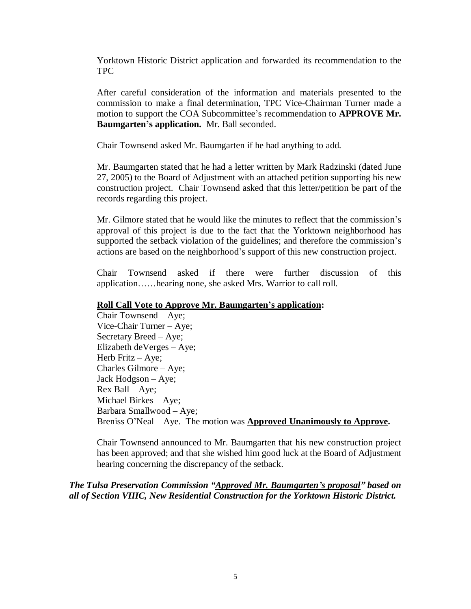Yorktown Historic District application and forwarded its recommendation to the TPC

After careful consideration of the information and materials presented to the commission to make a final determination, TPC Vice-Chairman Turner made a motion to support the COA Subcommittee's recommendation to **APPROVE Mr. Baumgarten's application.** Mr. Ball seconded.

Chair Townsend asked Mr. Baumgarten if he had anything to add.

Mr. Baumgarten stated that he had a letter written by Mark Radzinski (dated June 27, 2005) to the Board of Adjustment with an attached petition supporting his new construction project. Chair Townsend asked that this letter/petition be part of the records regarding this project.

Mr. Gilmore stated that he would like the minutes to reflect that the commission's approval of this project is due to the fact that the Yorktown neighborhood has supported the setback violation of the guidelines; and therefore the commission's actions are based on the neighborhood's support of this new construction project.

Chair Townsend asked if there were further discussion of this application……hearing none, she asked Mrs. Warrior to call roll.

#### **Roll Call Vote to Approve Mr. Baumgarten's application:**

Chair Townsend – Aye; Vice-Chair Turner – Aye; Secretary Breed – Aye; Elizabeth deVerges – Aye; Herb Fritz  $-$  Aye; Charles Gilmore – Aye; Jack Hodgson – Aye; Rex Ball – Aye; Michael Birkes – Aye; Barbara Smallwood – Aye; Breniss O'Neal – Aye. The motion was **Approved Unanimously to Approve.**

Chair Townsend announced to Mr. Baumgarten that his new construction project has been approved; and that she wished him good luck at the Board of Adjustment hearing concerning the discrepancy of the setback.

*The Tulsa Preservation Commission "Approved Mr. Baumgarten's proposal" based on all of Section VIIIC, New Residential Construction for the Yorktown Historic District.*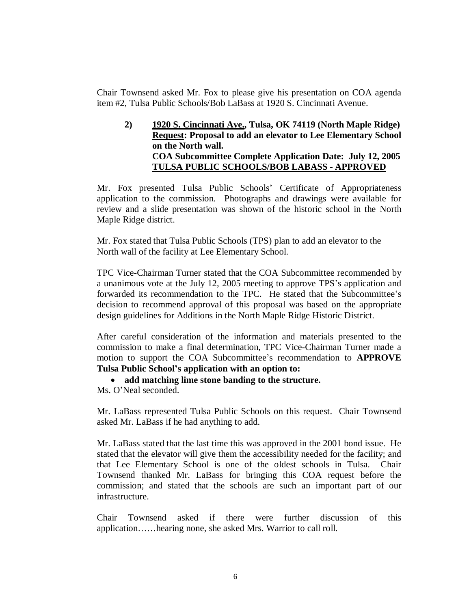Chair Townsend asked Mr. Fox to please give his presentation on COA agenda item #2, Tulsa Public Schools/Bob LaBass at 1920 S. Cincinnati Avenue.

**2) 1920 S. Cincinnati Ave., Tulsa, OK 74119 (North Maple Ridge) Request: Proposal to add an elevator to Lee Elementary School on the North wall. COA Subcommittee Complete Application Date: July 12, 2005 TULSA PUBLIC SCHOOLS/BOB LABASS - APPROVED**

Mr. Fox presented Tulsa Public Schools' Certificate of Appropriateness application to the commission. Photographs and drawings were available for review and a slide presentation was shown of the historic school in the North Maple Ridge district.

Mr. Fox stated that Tulsa Public Schools (TPS) plan to add an elevator to the North wall of the facility at Lee Elementary School.

TPC Vice-Chairman Turner stated that the COA Subcommittee recommended by a unanimous vote at the July 12, 2005 meeting to approve TPS's application and forwarded its recommendation to the TPC. He stated that the Subcommittee's decision to recommend approval of this proposal was based on the appropriate design guidelines for Additions in the North Maple Ridge Historic District.

After careful consideration of the information and materials presented to the commission to make a final determination, TPC Vice-Chairman Turner made a motion to support the COA Subcommittee's recommendation to **APPROVE Tulsa Public School's application with an option to:** 

**add matching lime stone banding to the structure.**

Ms. O'Neal seconded.

Mr. LaBass represented Tulsa Public Schools on this request. Chair Townsend asked Mr. LaBass if he had anything to add.

Mr. LaBass stated that the last time this was approved in the 2001 bond issue. He stated that the elevator will give them the accessibility needed for the facility; and that Lee Elementary School is one of the oldest schools in Tulsa. Chair Townsend thanked Mr. LaBass for bringing this COA request before the commission; and stated that the schools are such an important part of our infrastructure.

Chair Townsend asked if there were further discussion of this application……hearing none, she asked Mrs. Warrior to call roll.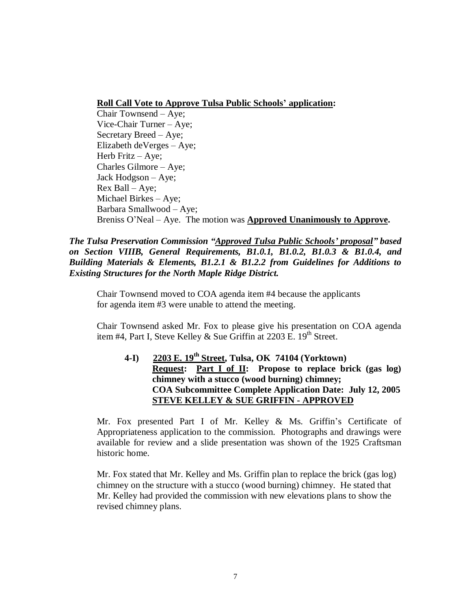#### **Roll Call Vote to Approve Tulsa Public Schools' application:**

Chair Townsend – Aye; Vice-Chair Turner – Aye; Secretary Breed – Aye; Elizabeth deVerges – Aye; Herb Fritz – Aye; Charles Gilmore – Aye; Jack Hodgson – Aye; Rex Ball – Aye; Michael Birkes – Aye; Barbara Smallwood – Aye; Breniss O'Neal – Aye. The motion was **Approved Unanimously to Approve.**

*The Tulsa Preservation Commission "Approved Tulsa Public Schools' proposal" based on Section VIIIB, General Requirements, B1.0.1, B1.0.2, B1.0.3 & B1.0.4, and Building Materials & Elements, B1.2.1 & B1.2.2 from Guidelines for Additions to Existing Structures for the North Maple Ridge District.*

Chair Townsend moved to COA agenda item #4 because the applicants for agenda item #3 were unable to attend the meeting.

Chair Townsend asked Mr. Fox to please give his presentation on COA agenda item #4, Part I, Steve Kelley & Sue Griffin at 2203 E.  $19<sup>th</sup>$  Street.

# **4-I) 2203 E. 19th Street, Tulsa, OK 74104 (Yorktown) Request: Part I of II: Propose to replace brick (gas log) chimney with a stucco (wood burning) chimney; COA Subcommittee Complete Application Date: July 12, 2005 STEVE KELLEY & SUE GRIFFIN - APPROVED**

Mr. Fox presented Part I of Mr. Kelley & Ms. Griffin's Certificate of Appropriateness application to the commission. Photographs and drawings were available for review and a slide presentation was shown of the 1925 Craftsman historic home.

Mr. Fox stated that Mr. Kelley and Ms. Griffin plan to replace the brick (gas log) chimney on the structure with a stucco (wood burning) chimney. He stated that Mr. Kelley had provided the commission with new elevations plans to show the revised chimney plans.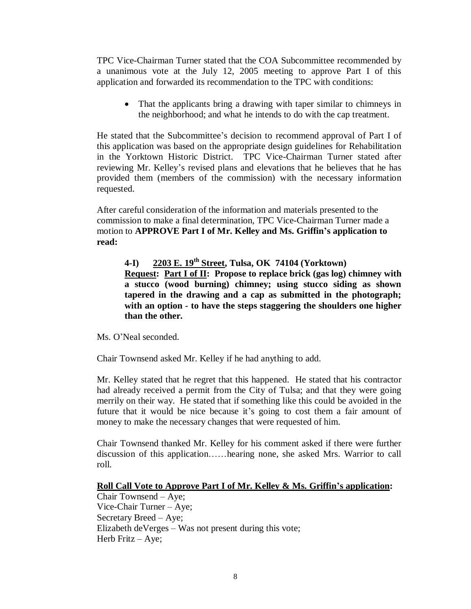TPC Vice-Chairman Turner stated that the COA Subcommittee recommended by a unanimous vote at the July 12, 2005 meeting to approve Part I of this application and forwarded its recommendation to the TPC with conditions:

• That the applicants bring a drawing with taper similar to chimneys in the neighborhood; and what he intends to do with the cap treatment.

He stated that the Subcommittee's decision to recommend approval of Part I of this application was based on the appropriate design guidelines for Rehabilitation in the Yorktown Historic District. TPC Vice-Chairman Turner stated after reviewing Mr. Kelley's revised plans and elevations that he believes that he has provided them (members of the commission) with the necessary information requested.

After careful consideration of the information and materials presented to the commission to make a final determination, TPC Vice-Chairman Turner made a motion to **APPROVE Part I of Mr. Kelley and Ms. Griffin's application to read:**

**4-I) 2203 E. 19th Street, Tulsa, OK 74104 (Yorktown) Request: Part I of II: Propose to replace brick (gas log) chimney with a stucco (wood burning) chimney; using stucco siding as shown tapered in the drawing and a cap as submitted in the photograph; with an option - to have the steps staggering the shoulders one higher than the other.**

Ms. O'Neal seconded.

Chair Townsend asked Mr. Kelley if he had anything to add.

Mr. Kelley stated that he regret that this happened. He stated that his contractor had already received a permit from the City of Tulsa; and that they were going merrily on their way. He stated that if something like this could be avoided in the future that it would be nice because it's going to cost them a fair amount of money to make the necessary changes that were requested of him.

Chair Townsend thanked Mr. Kelley for his comment asked if there were further discussion of this application……hearing none, she asked Mrs. Warrior to call roll.

#### **Roll Call Vote to Approve Part I of Mr. Kelley & Ms. Griffin's application:**

Chair Townsend – Aye; Vice-Chair Turner – Aye; Secretary Breed – Aye; Elizabeth deVerges – Was not present during this vote; Herb Fritz – Aye;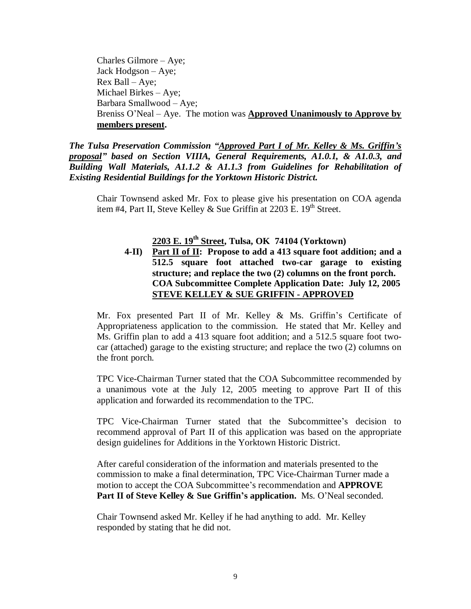Charles Gilmore – Aye; Jack Hodgson – Aye; Rex Ball – Aye; Michael Birkes – Aye; Barbara Smallwood – Aye; Breniss O'Neal – Aye. The motion was **Approved Unanimously to Approve by members present.**

*The Tulsa Preservation Commission "Approved Part I of Mr. Kelley & Ms. Griffin's proposal" based on Section VIIIA, General Requirements, A1.0.1, & A1.0.3, and Building Wall Materials, A1.1.2 & A1.1.3 from Guidelines for Rehabilitation of Existing Residential Buildings for the Yorktown Historic District.*

Chair Townsend asked Mr. Fox to please give his presentation on COA agenda item #4, Part II, Steve Kelley & Sue Griffin at  $2203$  E.  $19<sup>th</sup>$  Street.

# **2203 E. 19th Street, Tulsa, OK 74104 (Yorktown)**

**4-II) Part II of II: Propose to add a 413 square foot addition; and a 512.5 square foot attached two-car garage to existing structure; and replace the two (2) columns on the front porch. COA Subcommittee Complete Application Date: July 12, 2005 STEVE KELLEY & SUE GRIFFIN - APPROVED**

Mr. Fox presented Part II of Mr. Kelley & Ms. Griffin's Certificate of Appropriateness application to the commission. He stated that Mr. Kelley and Ms. Griffin plan to add a 413 square foot addition; and a 512.5 square foot twocar (attached) garage to the existing structure; and replace the two (2) columns on the front porch.

TPC Vice-Chairman Turner stated that the COA Subcommittee recommended by a unanimous vote at the July 12, 2005 meeting to approve Part II of this application and forwarded its recommendation to the TPC.

TPC Vice-Chairman Turner stated that the Subcommittee's decision to recommend approval of Part II of this application was based on the appropriate design guidelines for Additions in the Yorktown Historic District.

After careful consideration of the information and materials presented to the commission to make a final determination, TPC Vice-Chairman Turner made a motion to accept the COA Subcommittee's recommendation and **APPROVE Part II of Steve Kelley & Sue Griffin's application.** Ms. O'Neal seconded.

Chair Townsend asked Mr. Kelley if he had anything to add. Mr. Kelley responded by stating that he did not.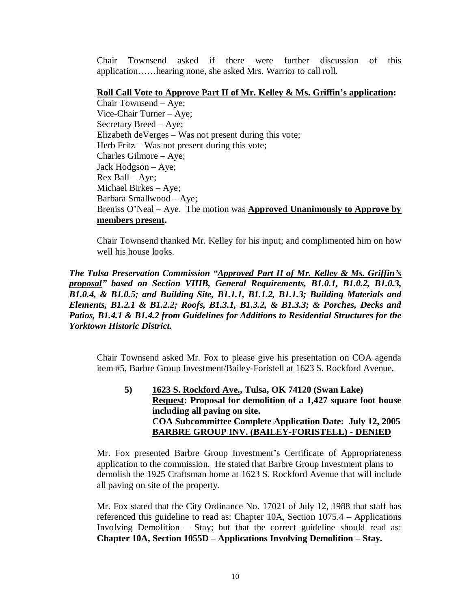Chair Townsend asked if there were further discussion of this application……hearing none, she asked Mrs. Warrior to call roll.

#### **Roll Call Vote to Approve Part II of Mr. Kelley & Ms. Griffin's application:**

Chair Townsend – Aye; Vice-Chair Turner – Aye; Secretary Breed – Aye; Elizabeth deVerges – Was not present during this vote; Herb Fritz – Was not present during this vote; Charles Gilmore – Aye; Jack Hodgson – Aye; Rex Ball – Aye; Michael Birkes – Aye; Barbara Smallwood – Aye; Breniss O'Neal – Aye. The motion was **Approved Unanimously to Approve by members present.**

Chair Townsend thanked Mr. Kelley for his input; and complimented him on how well his house looks.

*The Tulsa Preservation Commission "Approved Part II of Mr. Kelley & Ms. Griffin's proposal" based on Section VIIIB, General Requirements, B1.0.1, B1.0.2, B1.0.3, B1.0.4, & B1.0.5; and Building Site, B1.1.1, B1.1.2, B1.1.3; Building Materials and Elements, B1.2.1 & B1.2.2; Roofs, B1.3.1, B1.3.2, & B1.3.3; & Porches, Decks and Patios, B1.4.1 & B1.4.2 from Guidelines for Additions to Residential Structures for the Yorktown Historic District.*

Chair Townsend asked Mr. Fox to please give his presentation on COA agenda item #5, Barbre Group Investment/Bailey-Foristell at 1623 S. Rockford Avenue.

**5) 1623 S. Rockford Ave., Tulsa, OK 74120 (Swan Lake) Request: Proposal for demolition of a 1,427 square foot house including all paving on site. COA Subcommittee Complete Application Date: July 12, 2005 BARBRE GROUP INV. (BAILEY-FORISTELL) - DENIED**

Mr. Fox presented Barbre Group Investment's Certificate of Appropriateness application to the commission. He stated that Barbre Group Investment plans to demolish the 1925 Craftsman home at 1623 S. Rockford Avenue that will include all paving on site of the property.

Mr. Fox stated that the City Ordinance No. 17021 of July 12, 1988 that staff has referenced this guideline to read as: Chapter 10A, Section 1075.4 – Applications Involving Demolition – Stay; but that the correct guideline should read as: **Chapter 10A, Section 1055D – Applications Involving Demolition – Stay.**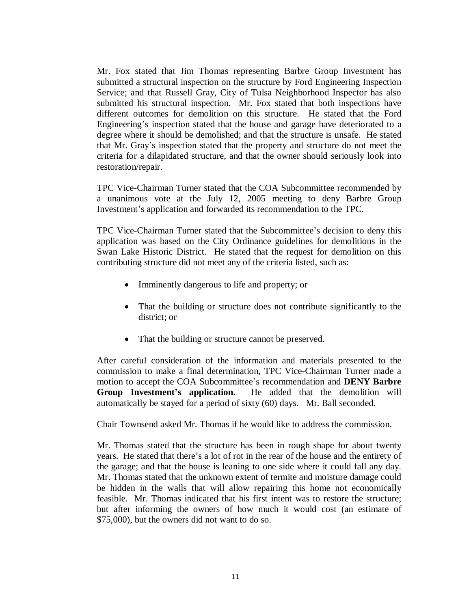Mr. Fox stated that Jim Thomas representing Barbre Group Investment has submitted a structural inspection on the structure by Ford Engineering Inspection Service; and that Russell Gray, City of Tulsa Neighborhood Inspector has also submitted his structural inspection. Mr. Fox stated that both inspections have different outcomes for demolition on this structure. He stated that the Ford Engineering's inspection stated that the house and garage have deteriorated to a degree where it should be demolished; and that the structure is unsafe. He stated that Mr. Gray's inspection stated that the property and structure do not meet the criteria for a dilapidated structure, and that the owner should seriously look into restoration/repair.

TPC Vice-Chairman Turner stated that the COA Subcommittee recommended by a unanimous vote at the July 12, 2005 meeting to deny Barbre Group Investment's application and forwarded its recommendation to the TPC.

TPC Vice-Chairman Turner stated that the Subcommittee's decision to deny this application was based on the City Ordinance guidelines for demolitions in the Swan Lake Historic District. He stated that the request for demolition on this contributing structure did not meet any of the criteria listed, such as:

- Imminently dangerous to life and property; or
- That the building or structure does not contribute significantly to the district; or
- That the building or structure cannot be preserved.

After careful consideration of the information and materials presented to the commission to make a final determination, TPC Vice-Chairman Turner made a motion to accept the COA Subcommittee's recommendation and **DENY Barbre Group Investment's application.** He added that the demolition will automatically be stayed for a period of sixty (60) days. Mr. Ball seconded.

Chair Townsend asked Mr. Thomas if he would like to address the commission.

Mr. Thomas stated that the structure has been in rough shape for about twenty years. He stated that there's a lot of rot in the rear of the house and the entirety of the garage; and that the house is leaning to one side where it could fall any day. Mr. Thomas stated that the unknown extent of termite and moisture damage could be hidden in the walls that will allow repairing this home not economically feasible. Mr. Thomas indicated that his first intent was to restore the structure; but after informing the owners of how much it would cost (an estimate of \$75,000), but the owners did not want to do so.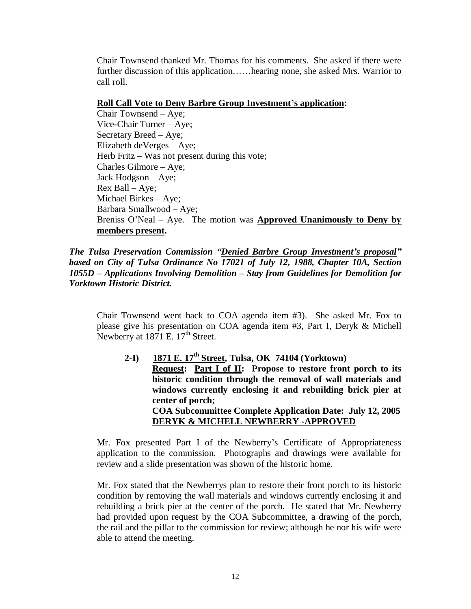Chair Townsend thanked Mr. Thomas for his comments. She asked if there were further discussion of this application……hearing none, she asked Mrs. Warrior to call roll.

#### **Roll Call Vote to Deny Barbre Group Investment's application:**

Chair Townsend – Aye; Vice-Chair Turner – Aye; Secretary Breed – Aye; Elizabeth deVerges –Aye; Herb Fritz – Was not present during this vote; Charles Gilmore – Aye; Jack Hodgson – Aye; Rex Ball – Aye; Michael Birkes – Aye; Barbara Smallwood – Aye; Breniss O'Neal – Aye. The motion was **Approved Unanimously to Deny by members present.**

*The Tulsa Preservation Commission "Denied Barbre Group Investment's proposal" based on City of Tulsa Ordinance No 17021 of July 12, 1988, Chapter 10A, Section 1055D – Applications Involving Demolition – Stay from Guidelines for Demolition for Yorktown Historic District.*

Chair Townsend went back to COA agenda item #3). She asked Mr. Fox to please give his presentation on COA agenda item #3, Part I, Deryk & Michell Newberry at  $1871$  E.  $17<sup>th</sup>$  Street.

**2-I) 1871 E. 17th Street, Tulsa, OK 74104 (Yorktown) Request: Part I of II: Propose to restore front porch to its historic condition through the removal of wall materials and windows currently enclosing it and rebuilding brick pier at center of porch; COA Subcommittee Complete Application Date: July 12, 2005 DERYK & MICHELL NEWBERRY -APPROVED**

Mr. Fox presented Part I of the Newberry's Certificate of Appropriateness application to the commission. Photographs and drawings were available for review and a slide presentation was shown of the historic home.

Mr. Fox stated that the Newberrys plan to restore their front porch to its historic condition by removing the wall materials and windows currently enclosing it and rebuilding a brick pier at the center of the porch. He stated that Mr. Newberry had provided upon request by the COA Subcommittee, a drawing of the porch, the rail and the pillar to the commission for review; although he nor his wife were able to attend the meeting.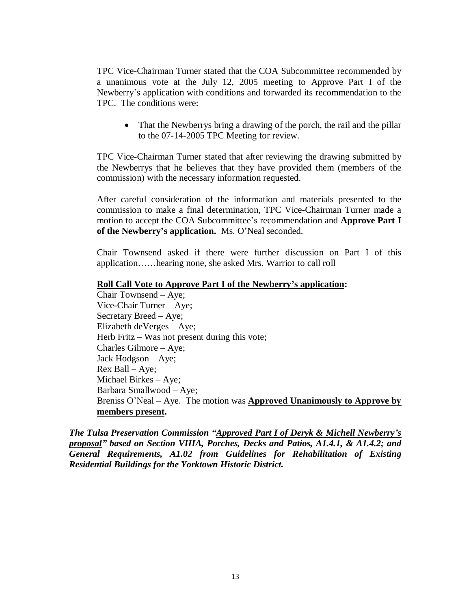TPC Vice-Chairman Turner stated that the COA Subcommittee recommended by a unanimous vote at the July 12, 2005 meeting to Approve Part I of the Newberry's application with conditions and forwarded its recommendation to the TPC. The conditions were:

• That the Newberrys bring a drawing of the porch, the rail and the pillar to the 07-14-2005 TPC Meeting for review.

TPC Vice-Chairman Turner stated that after reviewing the drawing submitted by the Newberrys that he believes that they have provided them (members of the commission) with the necessary information requested.

After careful consideration of the information and materials presented to the commission to make a final determination, TPC Vice-Chairman Turner made a motion to accept the COA Subcommittee's recommendation and **Approve Part I of the Newberry's application.** Ms. O'Neal seconded.

Chair Townsend asked if there were further discussion on Part I of this application……hearing none, she asked Mrs. Warrior to call roll

#### **Roll Call Vote to Approve Part I of the Newberry's application:**

Chair Townsend – Aye; Vice-Chair Turner – Aye; Secretary Breed – Aye; Elizabeth deVerges – Aye; Herb Fritz – Was not present during this vote; Charles Gilmore – Aye; Jack Hodgson – Aye; Rex Ball – Aye; Michael Birkes – Aye; Barbara Smallwood – Aye; Breniss O'Neal – Aye. The motion was **Approved Unanimously to Approve by members present.**

*The Tulsa Preservation Commission "Approved Part I of Deryk & Michell Newberry's proposal" based on Section VIIIA, Porches, Decks and Patios, A1.4.1, & A1.4.2; and General Requirements, A1.02 from Guidelines for Rehabilitation of Existing Residential Buildings for the Yorktown Historic District.*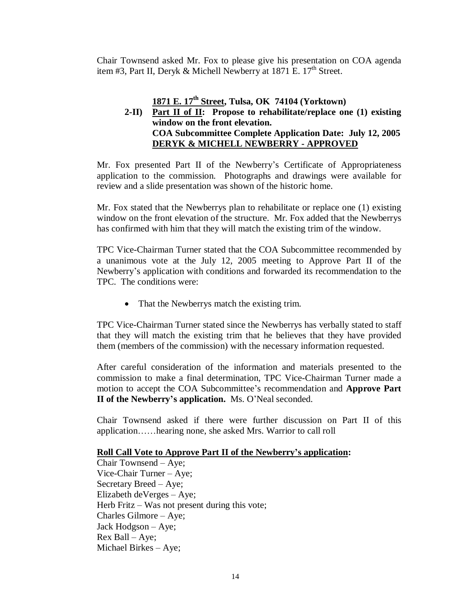Chair Townsend asked Mr. Fox to please give his presentation on COA agenda item #3, Part II, Deryk & Michell Newberry at 1871 E.  $17<sup>th</sup>$  Street.

# **1871 E. 17th Street, Tulsa, OK 74104 (Yorktown)**

# **2-II) Part II of II: Propose to rehabilitate/replace one (1) existing window on the front elevation. COA Subcommittee Complete Application Date: July 12, 2005 DERYK & MICHELL NEWBERRY - APPROVED**

Mr. Fox presented Part II of the Newberry's Certificate of Appropriateness application to the commission. Photographs and drawings were available for review and a slide presentation was shown of the historic home.

Mr. Fox stated that the Newberrys plan to rehabilitate or replace one (1) existing window on the front elevation of the structure. Mr. Fox added that the Newberrys has confirmed with him that they will match the existing trim of the window.

TPC Vice-Chairman Turner stated that the COA Subcommittee recommended by a unanimous vote at the July 12, 2005 meeting to Approve Part II of the Newberry's application with conditions and forwarded its recommendation to the TPC. The conditions were:

• That the Newberrys match the existing trim.

TPC Vice-Chairman Turner stated since the Newberrys has verbally stated to staff that they will match the existing trim that he believes that they have provided them (members of the commission) with the necessary information requested.

After careful consideration of the information and materials presented to the commission to make a final determination, TPC Vice-Chairman Turner made a motion to accept the COA Subcommittee's recommendation and **Approve Part II of the Newberry's application.** Ms. O'Neal seconded.

Chair Townsend asked if there were further discussion on Part II of this application……hearing none, she asked Mrs. Warrior to call roll

#### **Roll Call Vote to Approve Part II of the Newberry's application:**

Chair Townsend – Aye; Vice-Chair Turner – Aye; Secretary Breed – Aye; Elizabeth deVerges – Aye; Herb Fritz – Was not present during this vote; Charles Gilmore – Aye; Jack Hodgson – Aye; Rex Ball – Aye; Michael Birkes – Aye;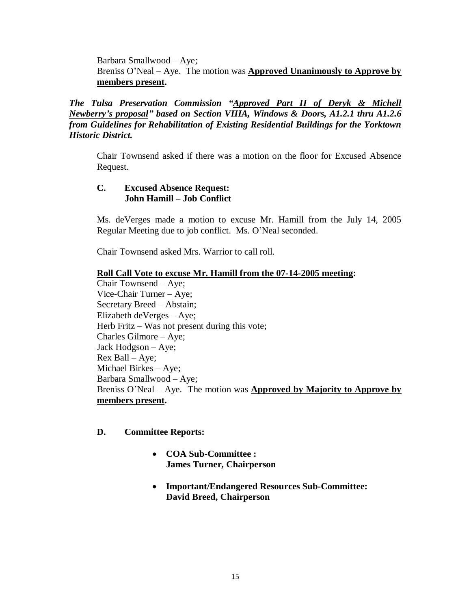Barbara Smallwood – Aye; Breniss O'Neal – Aye. The motion was **Approved Unanimously to Approve by members present.**

*The Tulsa Preservation Commission "Approved Part II of Deryk & Michell Newberry's proposal" based on Section VIIIA, Windows & Doors, A1.2.1 thru A1.2.6 from Guidelines for Rehabilitation of Existing Residential Buildings for the Yorktown Historic District.*

Chair Townsend asked if there was a motion on the floor for Excused Absence Request.

# **C. Excused Absence Request: John Hamill – Job Conflict**

Ms. deVerges made a motion to excuse Mr. Hamill from the July 14, 2005 Regular Meeting due to job conflict. Ms. O'Neal seconded.

Chair Townsend asked Mrs. Warrior to call roll.

#### **Roll Call Vote to excuse Mr. Hamill from the 07-14-2005 meeting:**

Chair Townsend – Aye; Vice-Chair Turner – Aye; Secretary Breed – Abstain; Elizabeth deVerges – Aye; Herb Fritz – Was not present during this vote; Charles Gilmore – Aye; Jack Hodgson – Aye; Rex Ball – Aye; Michael Birkes – Aye; Barbara Smallwood – Aye; Breniss O'Neal – Aye. The motion was **Approved by Majority to Approve by members present.**

#### **D. Committee Reports:**

- **COA Sub-Committee : James Turner, Chairperson**
- **Important/Endangered Resources Sub-Committee: David Breed, Chairperson**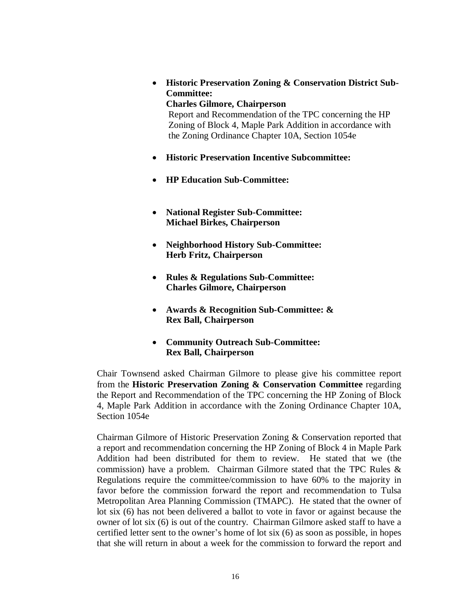**Historic Preservation Zoning & Conservation District Sub-Committee:**

# **Charles Gilmore, Chairperson**

Report and Recommendation of the TPC concerning the HP Zoning of Block 4, Maple Park Addition in accordance with the Zoning Ordinance Chapter 10A, Section 1054e

- **Historic Preservation Incentive Subcommittee:**
- **HP Education Sub-Committee:**
- **National Register Sub-Committee: Michael Birkes, Chairperson**
- **Neighborhood History Sub-Committee: Herb Fritz, Chairperson**
- **Rules & Regulations Sub-Committee: Charles Gilmore, Chairperson**
- **Awards & Recognition Sub-Committee: & Rex Ball, Chairperson**
- **Community Outreach Sub-Committee: Rex Ball, Chairperson**

Chair Townsend asked Chairman Gilmore to please give his committee report from the **Historic Preservation Zoning & Conservation Committee** regarding the Report and Recommendation of the TPC concerning the HP Zoning of Block 4, Maple Park Addition in accordance with the Zoning Ordinance Chapter 10A, Section 1054e

Chairman Gilmore of Historic Preservation Zoning & Conservation reported that a report and recommendation concerning the HP Zoning of Block 4 in Maple Park Addition had been distributed for them to review. He stated that we (the commission) have a problem. Chairman Gilmore stated that the TPC Rules & Regulations require the committee/commission to have 60% to the majority in favor before the commission forward the report and recommendation to Tulsa Metropolitan Area Planning Commission (TMAPC). He stated that the owner of lot six (6) has not been delivered a ballot to vote in favor or against because the owner of lot six (6) is out of the country. Chairman Gilmore asked staff to have a certified letter sent to the owner's home of lot six (6) as soon as possible, in hopes that she will return in about a week for the commission to forward the report and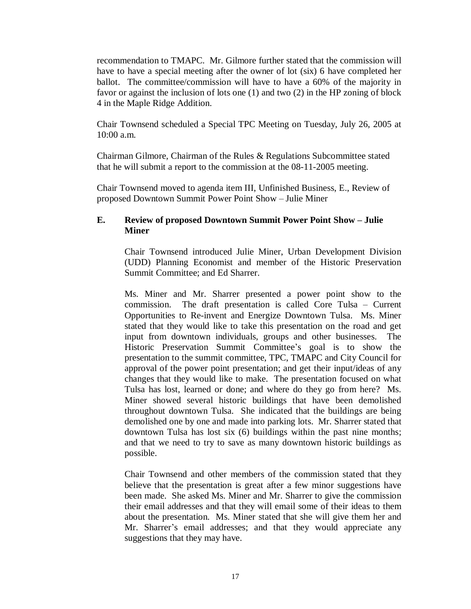recommendation to TMAPC. Mr. Gilmore further stated that the commission will have to have a special meeting after the owner of lot (six) 6 have completed her ballot. The committee/commission will have to have a 60% of the majority in favor or against the inclusion of lots one (1) and two (2) in the HP zoning of block 4 in the Maple Ridge Addition.

Chair Townsend scheduled a Special TPC Meeting on Tuesday, July 26, 2005 at 10:00 a.m.

Chairman Gilmore, Chairman of the Rules & Regulations Subcommittee stated that he will submit a report to the commission at the 08-11-2005 meeting.

Chair Townsend moved to agenda item III, Unfinished Business, E., Review of proposed Downtown Summit Power Point Show – Julie Miner

### **E. Review of proposed Downtown Summit Power Point Show – Julie Miner**

Chair Townsend introduced Julie Miner, Urban Development Division (UDD) Planning Economist and member of the Historic Preservation Summit Committee; and Ed Sharrer.

Ms. Miner and Mr. Sharrer presented a power point show to the commission. The draft presentation is called Core Tulsa – Current Opportunities to Re-invent and Energize Downtown Tulsa. Ms. Miner stated that they would like to take this presentation on the road and get input from downtown individuals, groups and other businesses. The Historic Preservation Summit Committee's goal is to show the presentation to the summit committee, TPC, TMAPC and City Council for approval of the power point presentation; and get their input/ideas of any changes that they would like to make. The presentation focused on what Tulsa has lost, learned or done; and where do they go from here? Ms. Miner showed several historic buildings that have been demolished throughout downtown Tulsa. She indicated that the buildings are being demolished one by one and made into parking lots. Mr. Sharrer stated that downtown Tulsa has lost six (6) buildings within the past nine months; and that we need to try to save as many downtown historic buildings as possible.

Chair Townsend and other members of the commission stated that they believe that the presentation is great after a few minor suggestions have been made. She asked Ms. Miner and Mr. Sharrer to give the commission their email addresses and that they will email some of their ideas to them about the presentation. Ms. Miner stated that she will give them her and Mr. Sharrer's email addresses; and that they would appreciate any suggestions that they may have.